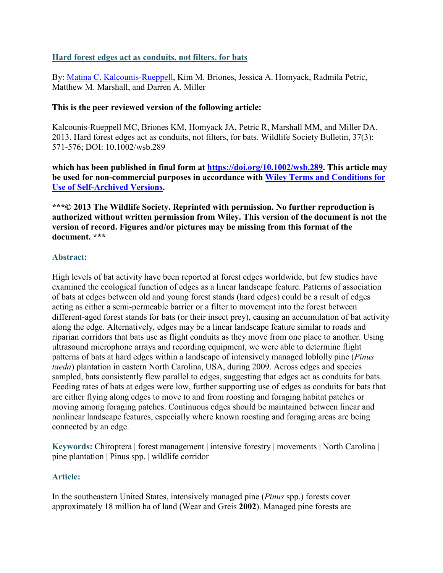# **Hard forest edges act as conduits, not filters, for bats**

By: [Matina C. Kalcounis-Rueppell,](https://libres.uncg.edu/ir/uncg/clist.aspx?id=137) Kim M. Briones, Jessica A. Homyack, Radmila Petric, Matthew M. Marshall, and Darren A. Miller

### **This is the peer reviewed version of the following article:**

Kalcounis-Rueppell MC, Briones KM, Homyack JA, Petric R, Marshall MM, and Miller DA. 2013. Hard forest edges act as conduits, not filters, for bats. Wildlife Society Bulletin, 37(3): 571-576; DOI: 10.1002/wsb.289

**which has been published in final form at [https://doi.org/10.1002/wsb.289.](https://doi.org/10.1002/wsb.289) This article may be used for non-commercial purposes in accordance with [Wiley Terms and Conditions for](https://authorservices.wiley.com/author-resources/Journal-Authors/licensing/self-archiving.html#3)  [Use of Self-Archived Versions.](https://authorservices.wiley.com/author-resources/Journal-Authors/licensing/self-archiving.html#3)**

**\*\*\*© 2013 The Wildlife Society. Reprinted with permission. No further reproduction is authorized without written permission from Wiley. This version of the document is not the version of record. Figures and/or pictures may be missing from this format of the document. \*\*\***

### **Abstract:**

High levels of bat activity have been reported at forest edges worldwide, but few studies have examined the ecological function of edges as a linear landscape feature. Patterns of association of bats at edges between old and young forest stands (hard edges) could be a result of edges acting as either a semi‐permeable barrier or a filter to movement into the forest between different-aged forest stands for bats (or their insect prey), causing an accumulation of bat activity along the edge. Alternatively, edges may be a linear landscape feature similar to roads and riparian corridors that bats use as flight conduits as they move from one place to another. Using ultrasound microphone arrays and recording equipment, we were able to determine flight patterns of bats at hard edges within a landscape of intensively managed loblolly pine (*Pinus taeda*) plantation in eastern North Carolina, USA, during 2009. Across edges and species sampled, bats consistently flew parallel to edges, suggesting that edges act as conduits for bats. Feeding rates of bats at edges were low, further supporting use of edges as conduits for bats that are either flying along edges to move to and from roosting and foraging habitat patches or moving among foraging patches. Continuous edges should be maintained between linear and nonlinear landscape features, especially where known roosting and foraging areas are being connected by an edge.

**Keywords:** Chiroptera | forest management | intensive forestry | movements | North Carolina | pine plantation | Pinus spp. | wildlife corridor

# **Article:**

In the southeastern United States, intensively managed pine (*Pinus* spp.) forests cover approximately 18 million ha of land (Wear and Greis **2002**). Managed pine forests are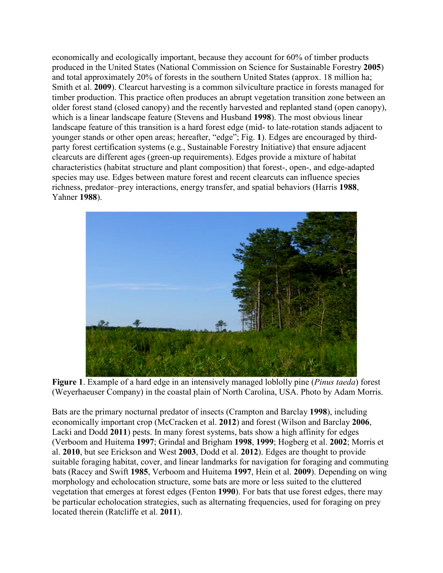economically and ecologically important, because they account for 60% of timber products produced in the United States (National Commission on Science for Sustainable Forestry **2005**) and total approximately 20% of forests in the southern United States (approx. 18 million ha; Smith et al. **2009**). Clearcut harvesting is a common silviculture practice in forests managed for timber production. This practice often produces an abrupt vegetation transition zone between an older forest stand (closed canopy) and the recently harvested and replanted stand (open canopy), which is a linear landscape feature (Stevens and Husband **1998**). The most obvious linear landscape feature of this transition is a hard forest edge (mid‐ to late‐rotation stands adjacent to younger stands or other open areas; hereafter, "edge"; Fig. **1**). Edges are encouraged by third‐ party forest certification systems (e.g., Sustainable Forestry Initiative) that ensure adjacent clearcuts are different ages (green‐up requirements). Edges provide a mixture of habitat characteristics (habitat structure and plant composition) that forest‐, open‐, and edge‐adapted species may use. Edges between mature forest and recent clearcuts can influence species richness, predator–prey interactions, energy transfer, and spatial behaviors (Harris **1988**, Yahner **1988**).



**Figure 1**. Example of a hard edge in an intensively managed loblolly pine (*Pinus taeda*) forest (Weyerhaeuser Company) in the coastal plain of North Carolina, USA. Photo by Adam Morris.

Bats are the primary nocturnal predator of insects (Crampton and Barclay **1998**), including economically important crop (McCracken et al. **2012**) and forest (Wilson and Barclay **2006**, Lacki and Dodd **2011**) pests. In many forest systems, bats show a high affinity for edges (Verboom and Huitema **1997**; Grindal and Brigham **1998**, **1999**; Hogberg et al. **2002**; Morris et al. **2010**, but see Erickson and West **2003**, Dodd et al. **2012**). Edges are thought to provide suitable foraging habitat, cover, and linear landmarks for navigation for foraging and commuting bats (Racey and Swift **1985**, Verboom and Huitema **1997**, Hein et al. **2009**). Depending on wing morphology and echolocation structure, some bats are more or less suited to the cluttered vegetation that emerges at forest edges (Fenton **1990**). For bats that use forest edges, there may be particular echolocation strategies, such as alternating frequencies, used for foraging on prey located therein (Ratcliffe et al. **2011**).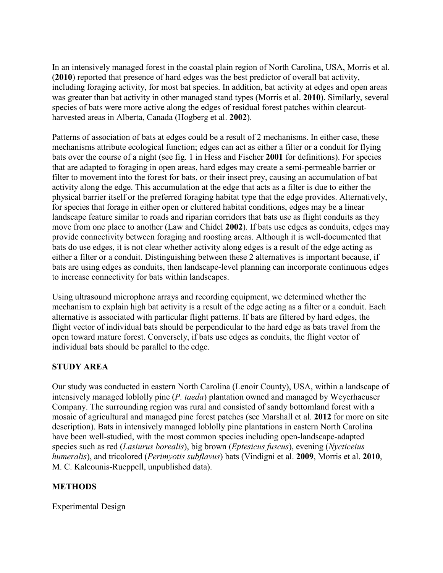In an intensively managed forest in the coastal plain region of North Carolina, USA, Morris et al. (**2010**) reported that presence of hard edges was the best predictor of overall bat activity, including foraging activity, for most bat species. In addition, bat activity at edges and open areas was greater than bat activity in other managed stand types (Morris et al. **2010**). Similarly, several species of bats were more active along the edges of residual forest patches within clearcutharvested areas in Alberta, Canada (Hogberg et al. **2002**).

Patterns of association of bats at edges could be a result of 2 mechanisms. In either case, these mechanisms attribute ecological function; edges can act as either a filter or a conduit for flying bats over the course of a night (see fig. 1 in Hess and Fischer **2001** for definitions). For species that are adapted to foraging in open areas, hard edges may create a semi‐permeable barrier or filter to movement into the forest for bats, or their insect prey, causing an accumulation of bat activity along the edge. This accumulation at the edge that acts as a filter is due to either the physical barrier itself or the preferred foraging habitat type that the edge provides. Alternatively, for species that forage in either open or cluttered habitat conditions, edges may be a linear landscape feature similar to roads and riparian corridors that bats use as flight conduits as they move from one place to another (Law and Chidel **2002**). If bats use edges as conduits, edges may provide connectivity between foraging and roosting areas. Although it is well-documented that bats do use edges, it is not clear whether activity along edges is a result of the edge acting as either a filter or a conduit. Distinguishing between these 2 alternatives is important because, if bats are using edges as conduits, then landscape‐level planning can incorporate continuous edges to increase connectivity for bats within landscapes.

Using ultrasound microphone arrays and recording equipment, we determined whether the mechanism to explain high bat activity is a result of the edge acting as a filter or a conduit. Each alternative is associated with particular flight patterns. If bats are filtered by hard edges, the flight vector of individual bats should be perpendicular to the hard edge as bats travel from the open toward mature forest. Conversely, if bats use edges as conduits, the flight vector of individual bats should be parallel to the edge.

# **STUDY AREA**

Our study was conducted in eastern North Carolina (Lenoir County), USA, within a landscape of intensively managed loblolly pine (*P. taeda*) plantation owned and managed by Weyerhaeuser Company. The surrounding region was rural and consisted of sandy bottomland forest with a mosaic of agricultural and managed pine forest patches (see Marshall et al. **2012** for more on site description). Bats in intensively managed loblolly pine plantations in eastern North Carolina have been well-studied, with the most common species including open-landscape-adapted species such as red (*Lasiurus borealis*), big brown (*Eptesicus fuscus*), evening (*Nycticeius humeralis*), and tricolored (*Perimyotis subflavus*) bats (Vindigni et al. **2009**, Morris et al. **2010**, M. C. Kalcounis‐Rueppell, unpublished data).

# **METHODS**

Experimental Design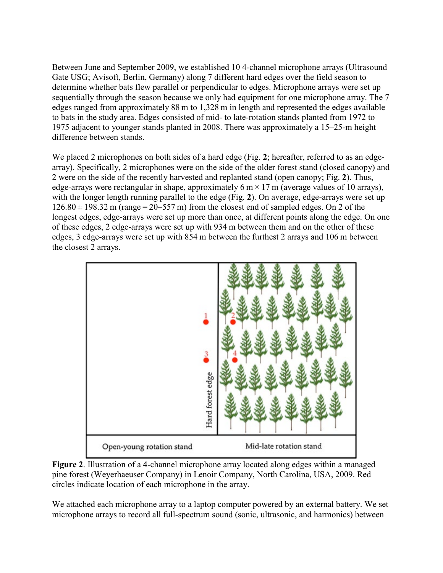Between June and September 2009, we established 10 4‐channel microphone arrays (Ultrasound Gate USG; Avisoft, Berlin, Germany) along 7 different hard edges over the field season to determine whether bats flew parallel or perpendicular to edges. Microphone arrays were set up sequentially through the season because we only had equipment for one microphone array. The 7 edges ranged from approximately 88 m to 1,328 m in length and represented the edges available to bats in the study area. Edges consisted of mid‐ to late‐rotation stands planted from 1972 to 1975 adjacent to younger stands planted in 2008. There was approximately a 15–25‐m height difference between stands.

We placed 2 microphones on both sides of a hard edge (Fig. 2; hereafter, referred to as an edgearray). Specifically, 2 microphones were on the side of the older forest stand (closed canopy) and 2 were on the side of the recently harvested and replanted stand (open canopy; Fig. **2**). Thus, edge-arrays were rectangular in shape, approximately 6 m  $\times$  17 m (average values of 10 arrays). with the longer length running parallel to the edge (Fig. 2). On average, edge-arrays were set up  $126.80 \pm 198.32$  m (range = 20–557 m) from the closest end of sampled edges. On 2 of the longest edges, edge-arrays were set up more than once, at different points along the edge. On one of these edges, 2 edge‐arrays were set up with 934 m between them and on the other of these edges, 3 edge‐arrays were set up with 854 m between the furthest 2 arrays and 106 m between the closest 2 arrays.



**Figure 2**. Illustration of a 4‐channel microphone array located along edges within a managed pine forest (Weyerhaeuser Company) in Lenoir Company, North Carolina, USA, 2009. Red circles indicate location of each microphone in the array.

We attached each microphone array to a laptop computer powered by an external battery. We set microphone arrays to record all full‐spectrum sound (sonic, ultrasonic, and harmonics) between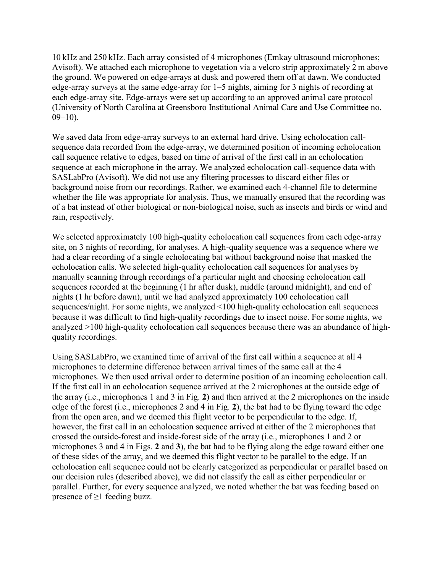10 kHz and 250 kHz. Each array consisted of 4 microphones (Emkay ultrasound microphones; Avisoft). We attached each microphone to vegetation via a velcro strip approximately 2 m above the ground. We powered on edge‐arrays at dusk and powered them off at dawn. We conducted edge‐array surveys at the same edge‐array for 1–5 nights, aiming for 3 nights of recording at each edge‐array site. Edge‐arrays were set up according to an approved animal care protocol (University of North Carolina at Greensboro Institutional Animal Care and Use Committee no.  $09-10$ ).

We saved data from edge-array surveys to an external hard drive. Using echolocation callsequence data recorded from the edge-array, we determined position of incoming echolocation call sequence relative to edges, based on time of arrival of the first call in an echolocation sequence at each microphone in the array. We analyzed echolocation call-sequence data with SASLabPro (Avisoft). We did not use any filtering processes to discard either files or background noise from our recordings. Rather, we examined each 4‐channel file to determine whether the file was appropriate for analysis. Thus, we manually ensured that the recording was of a bat instead of other biological or non‐biological noise, such as insects and birds or wind and rain, respectively.

We selected approximately 100 high-quality echolocation call sequences from each edge-array site, on 3 nights of recording, for analyses. A high‐quality sequence was a sequence where we had a clear recording of a single echolocating bat without background noise that masked the echolocation calls. We selected high‐quality echolocation call sequences for analyses by manually scanning through recordings of a particular night and choosing echolocation call sequences recorded at the beginning (1 hr after dusk), middle (around midnight), and end of nights (1 hr before dawn), until we had analyzed approximately 100 echolocation call sequences/night. For some nights, we analyzed <100 high-quality echolocation call sequences because it was difficult to find high‐quality recordings due to insect noise. For some nights, we analyzed >100 high-quality echolocation call sequences because there was an abundance of highquality recordings.

Using SASLabPro, we examined time of arrival of the first call within a sequence at all 4 microphones to determine difference between arrival times of the same call at the 4 microphones. We then used arrival order to determine position of an incoming echolocation call. If the first call in an echolocation sequence arrived at the 2 microphones at the outside edge of the array (i.e., microphones 1 and 3 in Fig. **2**) and then arrived at the 2 microphones on the inside edge of the forest (i.e., microphones 2 and 4 in Fig. **2**), the bat had to be flying toward the edge from the open area, and we deemed this flight vector to be perpendicular to the edge. If, however, the first call in an echolocation sequence arrived at either of the 2 microphones that crossed the outside‐forest and inside‐forest side of the array (i.e., microphones 1 and 2 or microphones 3 and 4 in Figs. **2** and **3**), the bat had to be flying along the edge toward either one of these sides of the array, and we deemed this flight vector to be parallel to the edge. If an echolocation call sequence could not be clearly categorized as perpendicular or parallel based on our decision rules (described above), we did not classify the call as either perpendicular or parallel. Further, for every sequence analyzed, we noted whether the bat was feeding based on presence of  $\geq 1$  feeding buzz.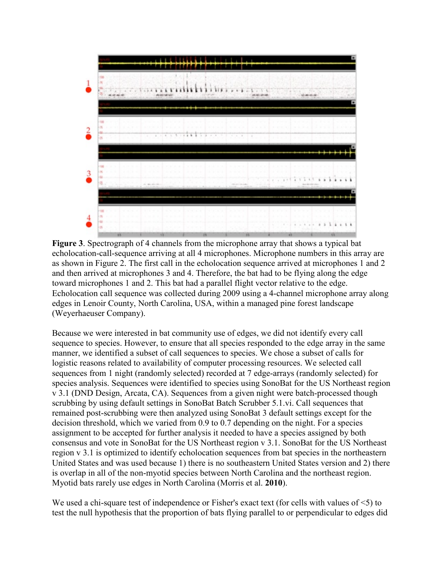

**Figure 3**. Spectrograph of 4 channels from the microphone array that shows a typical bat echolocation-call-sequence arriving at all 4 microphones. Microphone numbers in this array are as shown in Figure 2. The first call in the echolocation sequence arrived at microphones 1 and 2 and then arrived at microphones 3 and 4. Therefore, the bat had to be flying along the edge toward microphones 1 and 2. This bat had a parallel flight vector relative to the edge. Echolocation call sequence was collected during 2009 using a 4‐channel microphone array along edges in Lenoir County, North Carolina, USA, within a managed pine forest landscape (Weyerhaeuser Company).

Because we were interested in bat community use of edges, we did not identify every call sequence to species. However, to ensure that all species responded to the edge array in the same manner, we identified a subset of call sequences to species. We chose a subset of calls for logistic reasons related to availability of computer processing resources. We selected call sequences from 1 night (randomly selected) recorded at 7 edge-arrays (randomly selected) for species analysis. Sequences were identified to species using SonoBat for the US Northeast region v 3.1 (DND Design, Arcata, CA). Sequences from a given night were batch‐processed though scrubbing by using default settings in SonoBat Batch Scrubber 5.1.vi. Call sequences that remained post‐scrubbing were then analyzed using SonoBat 3 default settings except for the decision threshold, which we varied from 0.9 to 0.7 depending on the night. For a species assignment to be accepted for further analysis it needed to have a species assigned by both consensus and vote in SonoBat for the US Northeast region v 3.1. SonoBat for the US Northeast region v 3.1 is optimized to identify echolocation sequences from bat species in the northeastern United States and was used because 1) there is no southeastern United States version and 2) there is overlap in all of the non‐myotid species between North Carolina and the northeast region. Myotid bats rarely use edges in North Carolina (Morris et al. **2010**).

We used a chi-square test of independence or Fisher's exact text (for cells with values of  $\leq$ ) to test the null hypothesis that the proportion of bats flying parallel to or perpendicular to edges did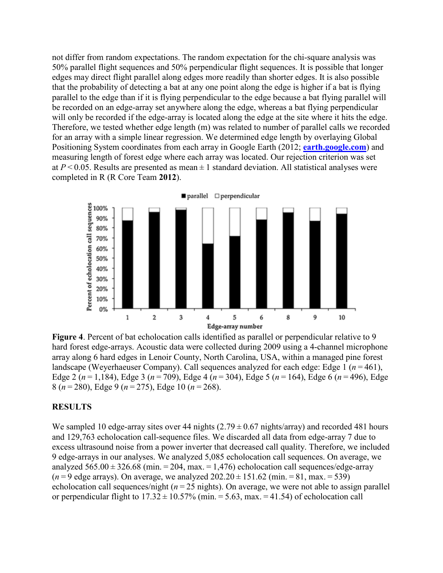not differ from random expectations. The random expectation for the chi‐square analysis was 50% parallel flight sequences and 50% perpendicular flight sequences. It is possible that longer edges may direct flight parallel along edges more readily than shorter edges. It is also possible that the probability of detecting a bat at any one point along the edge is higher if a bat is flying parallel to the edge than if it is flying perpendicular to the edge because a bat flying parallel will be recorded on an edge-array set anywhere along the edge, whereas a bat flying perpendicular will only be recorded if the edge-array is located along the edge at the site where it hits the edge. Therefore, we tested whether edge length (m) was related to number of parallel calls we recorded for an array with a simple linear regression. We determined edge length by overlaying Global Positioning System coordinates from each array in Google Earth (2012; **[earth.google.com](http://www.earth.google.com/)**) and measuring length of forest edge where each array was located. Our rejection criterion was set at  $P \le 0.05$ . Results are presented as mean  $\pm 1$  standard deviation. All statistical analyses were completed in R (R Core Team **2012**).



**Figure 4**. Percent of bat echolocation calls identified as parallel or perpendicular relative to 9 hard forest edge-arrays. Acoustic data were collected during 2009 using a 4-channel microphone array along 6 hard edges in Lenoir County, North Carolina, USA, within a managed pine forest landscape (Weyerhaeuser Company). Call sequences analyzed for each edge: Edge 1 (*n* = 461), Edge 2 (*n* = 1,184), Edge 3 (*n* = 709), Edge 4 (*n* = 304), Edge 5 (*n* = 164), Edge 6 (*n* = 496), Edge 8 (*n* = 280), Edge 9 (*n* = 275), Edge 10 (*n* = 268).

#### **RESULTS**

We sampled 10 edge-array sites over 44 nights  $(2.79 \pm 0.67 \text{ nights/array})$  and recorded 481 hours and 129,763 echolocation call‐sequence files. We discarded all data from edge‐array 7 due to excess ultrasound noise from a power inverter that decreased call quality. Therefore, we included 9 edge‐arrays in our analyses. We analyzed 5,085 echolocation call sequences. On average, we analyzed  $565.00 \pm 326.68$  (min. = 204, max. = 1,476) echolocation call sequences/edge-array  $(n=9 \text{ edge arrays})$ . On average, we analyzed  $202.20 \pm 151.62$  (min.  $= 81$ , max.  $= 539$ ) echolocation call sequences/night ( $n = 25$  nights). On average, we were not able to assign parallel or perpendicular flight to  $17.32 \pm 10.57\%$  (min. = 5.63, max. = 41.54) of echolocation call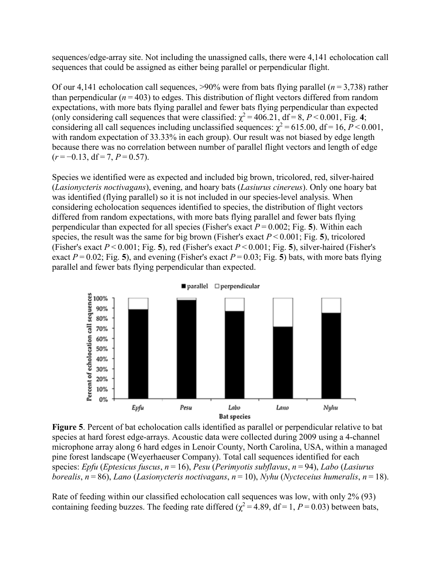sequences/edge-array site. Not including the unassigned calls, there were 4,141 echolocation call sequences that could be assigned as either being parallel or perpendicular flight.

Of our 4,141 echolocation call sequences,  $>90\%$  were from bats flying parallel ( $n = 3,738$ ) rather than perpendicular  $(n = 403)$  to edges. This distribution of flight vectors differed from random expectations, with more bats flying parallel and fewer bats flying perpendicular than expected (only considering call sequences that were classified:  $\chi^2 = 406.21$ , df = 8, *P* < 0.001, Fig. 4; considering all call sequences including unclassified sequences:  $\chi^2$  = 615.00, df = 16, *P* < 0.001, with random expectation of 33.33% in each group). Our result was not biased by edge length because there was no correlation between number of parallel flight vectors and length of edge (*r* = −0.13, df = 7, *P* = 0.57).

Species we identified were as expected and included big brown, tricolored, red, silver‐haired (*Lasionycteris noctivagans*), evening, and hoary bats (*Lasiurus cinereus*). Only one hoary bat was identified (flying parallel) so it is not included in our species-level analysis. When considering echolocation sequences identified to species, the distribution of flight vectors differed from random expectations, with more bats flying parallel and fewer bats flying perpendicular than expected for all species (Fisher's exact  $P = 0.002$ ; Fig. 5). Within each species, the result was the same for big brown (Fisher's exact  $P \le 0.001$ ; Fig. 5), tricolored (Fisher's exact *P* < 0.001; Fig. **5**), red (Fisher's exact *P* < 0.001; Fig. **5**), silver‐haired (Fisher's exact  $P = 0.02$ ; Fig. 5), and evening (Fisher's exact  $P = 0.03$ ; Fig. 5) bats, with more bats flying parallel and fewer bats flying perpendicular than expected.



■ parallel □ perpendicular

**Figure 5**. Percent of bat echolocation calls identified as parallel or perpendicular relative to bat species at hard forest edge-arrays. Acoustic data were collected during 2009 using a 4-channel microphone array along 6 hard edges in Lenoir County, North Carolina, USA, within a managed pine forest landscape (Weyerhaeuser Company). Total call sequences identified for each species: *Epfu* (*Eptesicus fuscus*, *n* = 16), *Pesu* (*Perimyotis subflavus*, *n* = 94), *Labo* (*Lasiurus borealis*, *n* = 86), *Lano* (*Lasionycteris noctivagans*, *n* = 10), *Nyhu* (*Nycteceius humeralis*, *n* = 18).

Rate of feeding within our classified echolocation call sequences was low, with only 2% (93) containing feeding buzzes. The feeding rate differed ( $\chi^2 = 4.89$ , df = 1, *P* = 0.03) between bats,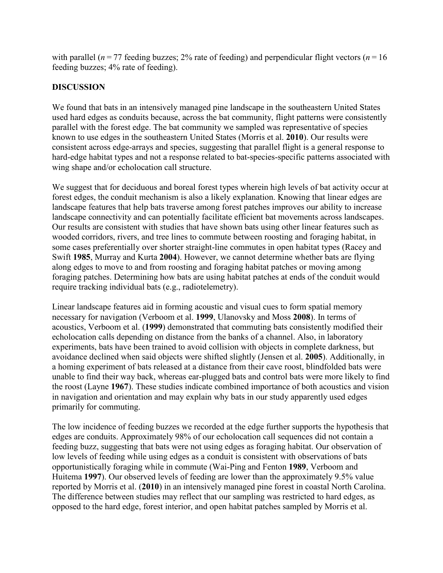with parallel ( $n = 77$  feeding buzzes; 2% rate of feeding) and perpendicular flight vectors ( $n = 16$ feeding buzzes; 4% rate of feeding).

# **DISCUSSION**

We found that bats in an intensively managed pine landscape in the southeastern United States used hard edges as conduits because, across the bat community, flight patterns were consistently parallel with the forest edge. The bat community we sampled was representative of species known to use edges in the southeastern United States (Morris et al. **2010**). Our results were consistent across edge‐arrays and species, suggesting that parallel flight is a general response to hard-edge habitat types and not a response related to bat-species-specific patterns associated with wing shape and/or echolocation call structure.

We suggest that for deciduous and boreal forest types wherein high levels of bat activity occur at forest edges, the conduit mechanism is also a likely explanation. Knowing that linear edges are landscape features that help bats traverse among forest patches improves our ability to increase landscape connectivity and can potentially facilitate efficient bat movements across landscapes. Our results are consistent with studies that have shown bats using other linear features such as wooded corridors, rivers, and tree lines to commute between roosting and foraging habitat, in some cases preferentially over shorter straight-line commutes in open habitat types (Racey and Swift **1985**, Murray and Kurta **2004**). However, we cannot determine whether bats are flying along edges to move to and from roosting and foraging habitat patches or moving among foraging patches. Determining how bats are using habitat patches at ends of the conduit would require tracking individual bats (e.g., radiotelemetry).

Linear landscape features aid in forming acoustic and visual cues to form spatial memory necessary for navigation (Verboom et al. **1999**, Ulanovsky and Moss **2008**). In terms of acoustics, Verboom et al. (**1999**) demonstrated that commuting bats consistently modified their echolocation calls depending on distance from the banks of a channel. Also, in laboratory experiments, bats have been trained to avoid collision with objects in complete darkness, but avoidance declined when said objects were shifted slightly (Jensen et al. **2005**). Additionally, in a homing experiment of bats released at a distance from their cave roost, blindfolded bats were unable to find their way back, whereas ear-plugged bats and control bats were more likely to find the roost (Layne **1967**). These studies indicate combined importance of both acoustics and vision in navigation and orientation and may explain why bats in our study apparently used edges primarily for commuting.

The low incidence of feeding buzzes we recorded at the edge further supports the hypothesis that edges are conduits. Approximately 98% of our echolocation call sequences did not contain a feeding buzz, suggesting that bats were not using edges as foraging habitat. Our observation of low levels of feeding while using edges as a conduit is consistent with observations of bats opportunistically foraging while in commute (Wai‐Ping and Fenton **1989**, Verboom and Huitema **1997**). Our observed levels of feeding are lower than the approximately 9.5% value reported by Morris et al. (**2010**) in an intensively managed pine forest in coastal North Carolina. The difference between studies may reflect that our sampling was restricted to hard edges, as opposed to the hard edge, forest interior, and open habitat patches sampled by Morris et al.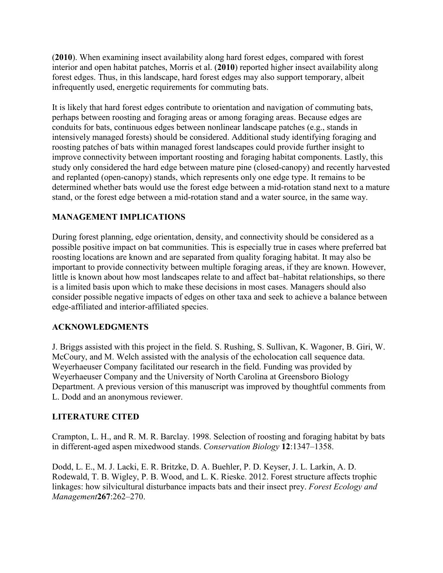(**2010**). When examining insect availability along hard forest edges, compared with forest interior and open habitat patches, Morris et al. (**2010**) reported higher insect availability along forest edges. Thus, in this landscape, hard forest edges may also support temporary, albeit infrequently used, energetic requirements for commuting bats.

It is likely that hard forest edges contribute to orientation and navigation of commuting bats, perhaps between roosting and foraging areas or among foraging areas. Because edges are conduits for bats, continuous edges between nonlinear landscape patches (e.g., stands in intensively managed forests) should be considered. Additional study identifying foraging and roosting patches of bats within managed forest landscapes could provide further insight to improve connectivity between important roosting and foraging habitat components. Lastly, this study only considered the hard edge between mature pine (closed‐canopy) and recently harvested and replanted (open‐canopy) stands, which represents only one edge type. It remains to be determined whether bats would use the forest edge between a mid‐rotation stand next to a mature stand, or the forest edge between a mid‐rotation stand and a water source, in the same way.

# **MANAGEMENT IMPLICATIONS**

During forest planning, edge orientation, density, and connectivity should be considered as a possible positive impact on bat communities. This is especially true in cases where preferred bat roosting locations are known and are separated from quality foraging habitat. It may also be important to provide connectivity between multiple foraging areas, if they are known. However, little is known about how most landscapes relate to and affect bat–habitat relationships, so there is a limited basis upon which to make these decisions in most cases. Managers should also consider possible negative impacts of edges on other taxa and seek to achieve a balance between edge‐affiliated and interior‐affiliated species.

# **ACKNOWLEDGMENTS**

J. Briggs assisted with this project in the field. S. Rushing, S. Sullivan, K. Wagoner, B. Giri, W. McCoury, and M. Welch assisted with the analysis of the echolocation call sequence data. Weyerhaeuser Company facilitated our research in the field. Funding was provided by Weyerhaeuser Company and the University of North Carolina at Greensboro Biology Department. A previous version of this manuscript was improved by thoughtful comments from L. Dodd and an anonymous reviewer.

# **LITERATURE CITED**

Crampton, L. H., and R. M. R. Barclay. 1998. Selection of roosting and foraging habitat by bats in different‐aged aspen mixedwood stands. *Conservation Biology* **12**:1347–1358.

Dodd, L. E., M. J. Lacki, E. R. Britzke, D. A. Buehler, P. D. Keyser, J. L. Larkin, A. D. Rodewald, T. B. Wigley, P. B. Wood, and L. K. Rieske. 2012. Forest structure affects trophic linkages: how silvicultural disturbance impacts bats and their insect prey. *Forest Ecology and Management***267**:262–270.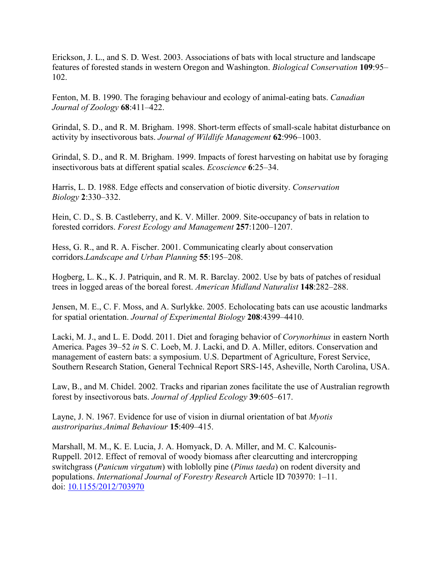Erickson, J. L., and S. D. West. 2003. Associations of bats with local structure and landscape features of forested stands in western Oregon and Washington. *Biological Conservation* **109**:95– 102.

Fenton, M. B. 1990. The foraging behaviour and ecology of animal‐eating bats. *Canadian Journal of Zoology* **68**:411–422.

Grindal, S. D., and R. M. Brigham. 1998. Short‐term effects of small‐scale habitat disturbance on activity by insectivorous bats. *Journal of Wildlife Management* **62**:996–1003.

Grindal, S. D., and R. M. Brigham. 1999. Impacts of forest harvesting on habitat use by foraging insectivorous bats at different spatial scales. *Ecoscience* **6**:25–34.

Harris, L. D. 1988. Edge effects and conservation of biotic diversity. *Conservation Biology* **2**:330–332.

Hein, C. D., S. B. Castleberry, and K. V. Miller. 2009. Site-occupancy of bats in relation to forested corridors. *Forest Ecology and Management* **257**:1200–1207.

Hess, G. R., and R. A. Fischer. 2001. Communicating clearly about conservation corridors.*Landscape and Urban Planning* **55**:195–208.

Hogberg, L. K., K. J. Patriquin, and R. M. R. Barclay. 2002. Use by bats of patches of residual trees in logged areas of the boreal forest. *American Midland Naturalist* **148**:282–288.

Jensen, M. E., C. F. Moss, and A. Surlykke. 2005. Echolocating bats can use acoustic landmarks for spatial orientation. *Journal of Experimental Biology* **208**:4399–4410.

Lacki, M. J., and L. E. Dodd. 2011. Diet and foraging behavior of *Corynorhinus* in eastern North America. Pages 39–52 *in* S. C. Loeb, M. J. Lacki, and D. A. Miller, editors. Conservation and management of eastern bats: a symposium. U.S. Department of Agriculture, Forest Service, Southern Research Station, General Technical Report SRS‐145, Asheville, North Carolina, USA.

Law, B., and M. Chidel. 2002. Tracks and riparian zones facilitate the use of Australian regrowth forest by insectivorous bats. *Journal of Applied Ecology* **39**:605–617.

Layne, J. N. 1967. Evidence for use of vision in diurnal orientation of bat *Myotis austroriparius*.*Animal Behaviour* **15**:409–415.

Marshall, M. M., K. E. Lucia, J. A. Homyack, D. A. Miller, and M. C. Kalcounis‐ Ruppell. 2012. Effect of removal of woody biomass after clearcutting and intercropping switchgrass (*Panicum virgatum*) with loblolly pine (*Pinus taeda*) on rodent diversity and populations. *International Journal of Forestry Research* Article ID 703970: 1–11. doi: [10.1155/2012/703970](https://doi.org/10.1155/2012/703970)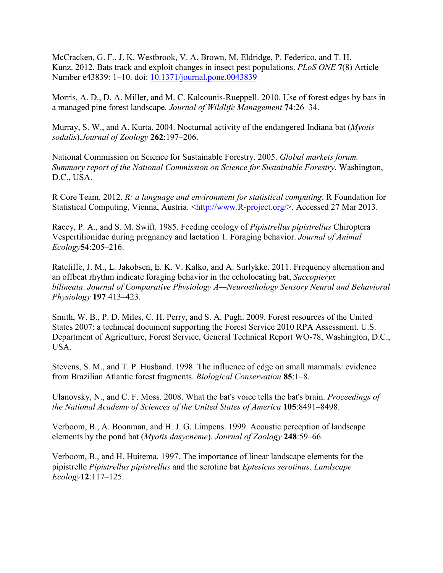McCracken, G. F., J. K. Westbrook, V. A. Brown, M. Eldridge, P. Federico, and T. H. Kunz. 2012. Bats track and exploit changes in insect pest populations. *PLoS ONE* **7**(8) Article Number e43839: 1–10. doi: [10.1371/journal.pone.0043839](https://doi.org/10.1371/journal.pone.0043839)

Morris, A. D., D. A. Miller, and M. C. Kalcounis-Rueppell. 2010. Use of forest edges by bats in a managed pine forest landscape. *Journal of Wildlife Management* **74**:26–34.

Murray, S. W., and A. Kurta. 2004. Nocturnal activity of the endangered Indiana bat (*Myotis sodalis*).*Journal of Zoology* **262**:197–206.

National Commission on Science for Sustainable Forestry. 2005. *Global markets forum. Summary report of the National Commission on Science for Sustainable Forestry*. Washington, D.C., USA.

R Core Team. 2012. *R: a language and environment for statistical computing*. R Foundation for Statistical Computing, Vienna, Austria. <http://www.R-project.org/>. Accessed 27 Mar 2013.

Racey, P. A., and S. M. Swift. 1985. Feeding ecology of *Pipistrellus pipistrellus* Chiroptera Vespertilionidae during pregnancy and lactation 1. Foraging behavior. *Journal of Animal Ecology***54**:205–216.

Ratcliffe, J. M., L. Jakobsen, E. K. V. Kalko, and A. Surlykke. 2011. Frequency alternation and an offbeat rhythm indicate foraging behavior in the echolocating bat, *Saccopteryx bilineata*. *Journal of Comparative Physiology A—Neuroethology Sensory Neural and Behavioral Physiology* **197**:413–423.

Smith, W. B., P. D. Miles, C. H. Perry, and S. A. Pugh. 2009. Forest resources of the United States 2007: a technical document supporting the Forest Service 2010 RPA Assessment. U.S. Department of Agriculture, Forest Service, General Technical Report WO‐78, Washington, D.C., USA.

Stevens, S. M., and T. P. Husband. 1998. The influence of edge on small mammals: evidence from Brazilian Atlantic forest fragments. *Biological Conservation* **85**:1–8.

Ulanovsky, N., and C. F. Moss. 2008. What the bat's voice tells the bat's brain. *Proceedings of the National Academy of Sciences of the United States of America* **105**:8491–8498.

Verboom, B., A. Boonman, and H. J. G. Limpens. 1999. Acoustic perception of landscape elements by the pond bat (*Myotis dasycneme*). *Journal of Zoology* **248**:59–66.

Verboom, B., and H. Huitema. 1997. The importance of linear landscape elements for the pipistrelle *Pipistrellus pipistrellus* and the serotine bat *Eptesicus serotinus*. *Landscape Ecology***12**:117–125.